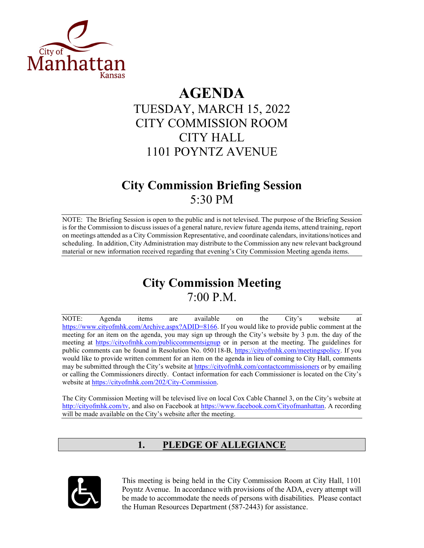

# **AGENDA** TUESDAY, MARCH 15, 2022 CITY COMMISSION ROOM CITY HALL 1101 POYNTZ AVENUE

## **City Commission Briefing Session** 5:30 PM

NOTE: The Briefing Session is open to the public and is not televised. The purpose of the Briefing Session is for the Commission to discuss issues of a general nature, review future agenda items, attend training, report on meetings attended as a City Commission Representative, and coordinate calendars, invitations/notices and scheduling. In addition, City Administration may distribute to the Commission any new relevant background material or new information received regarding that evening's City Commission Meeting agenda items.

# **City Commission Meeting** 7:00 P.M.

NOTE: Agenda items are available on the City's website at [https://www.cityofmhk.com/Archive.aspx?ADID=8166.](https://www.cityofmhk.com/Archive.aspx?ADID=8166) If you would like to provide public comment at the meeting for an item on the agenda, you may sign up through the City's website by 3 p.m. the day of the meeting at<https://cityofmhk.com/publiccommentsignup> or in person at the meeting. The guidelines for public comments can be found in Resolution No. 050118-B, [https://cityofmhk.com/meetingspolicy.](https://cityofmhk.com/meetingspolicy) If you would like to provide written comment for an item on the agenda in lieu of coming to City Hall, comments may be submitted through the City's website at<https://cityofmhk.com/contactcommissioners> or by emailing or calling the Commissioners directly. Contact information for each Commissioner is located on the City's website at [https://cityofmhk.com/202/City-Commission.](https://cityofmhk.com/202/City-Commission)

The City Commission Meeting will be televised live on local Cox Cable Channel 3, on the City's website at [http://cityofmhk.com/tv,](http://cityofmhk.com/tv) and also on Facebook at [https://www.facebook.com/Cityofmanhattan.](https://www.facebook.com/Cityofmanhattan) A recording will be made available on the City's website after the meeting.

### **1. PLEDGE OF ALLEGIANCE**



This meeting is being held in the City Commission Room at City Hall, 1101 Poyntz Avenue. In accordance with provisions of the ADA, every attempt will be made to accommodate the needs of persons with disabilities. Please contact the Human Resources Department (587-2443) for assistance.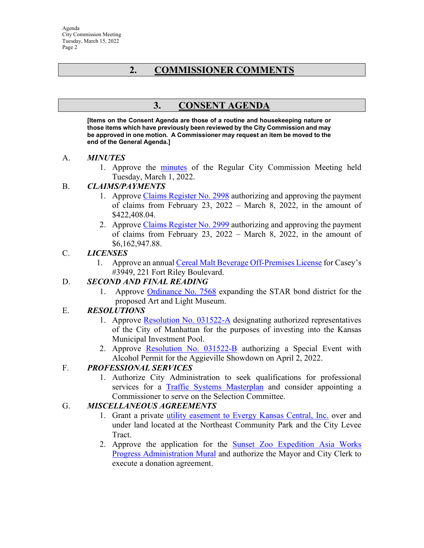### **2. COMMISSIONER COMMENTS**

### **3. CONSENT AGENDA**

**[Items on the Consent Agenda are those of a routine and housekeeping nature or those items which have previously been reviewed by the City Commission and may be approved in one motion. A Commissioner may request an item be moved to the end of the General Agenda.]** 

#### A. *MINUTES*

1. Approve the [minutes](https://manhattanks.sharepoint.com/:b:/s/CommissionPacket/Eemcyr4SOXxChQNpfMJPhWIB1BDyKPe6AsR7VMe5RVmiPg?e=3ySSeg) of the Regular City Commission Meeting held Tuesday, March 1, 2022.

#### B. *CLAIMS/PAYMENTS*

- 1. Approve [Claims Register No. 2998](https://manhattanks.sharepoint.com/:b:/s/CommissionPacket/EVyb36u273tLuLLkjzVWiswBuR0btosYZhwh5evjx5lvqA?e=2crJPK) authorizing and approving the payment of claims from February 23, 2022 – March 8, 2022, in the amount of \$422,408.04.
- 2. Approve [Claims Register No. 2999](https://manhattanks.sharepoint.com/:b:/s/CommissionPacket/ESpbN93uSDdIvjZnEg-zSz8BlsGMhJppMqJwdA8FA_XQUw?e=Us3KYy) authorizing and approving the payment of claims from February 23, 2022 – March 8, 2022, in the amount of \$6,162,947.88.

#### C. *LICENSES*

1. Approve an annua[l Cereal Malt Beverage Off-Premises License](https://manhattanks.sharepoint.com/:b:/s/CommissionPacket/EZAjYuEAjiFHsDL7Hjxxlb0BGmHUvRoed8SS60LFCSV5GQ?e=hzioHq) for Casey's #3949, 221 Fort Riley Boulevard.

#### D. *SECOND AND FINAL READING*

1. Approve [Ordinance No. 7568](https://manhattanks.sharepoint.com/:b:/s/CommissionPacket/ERwvEL4ghYlJqu20tjGF8iIB2Bu4V4PUyy_Et4Ht_DtgMg?e=dj8DLM) expanding the STAR bond district for the proposed Art and Light Museum.

#### E. *RESOLUTIONS*

- 1. Approve [Resolution No. 031522-A](https://manhattanks.sharepoint.com/:b:/s/CommissionPacket/EREz00gfv9JNt5Y3YXivSggBwN3mCpJi6hFVxrezuGuc-g?e=KoGOrg) designating authorized representatives of the City of Manhattan for the purposes of investing into the Kansas Municipal Investment Pool.
- 2. Approve [Resolution No. 031522-B](https://manhattanks.sharepoint.com/:b:/s/CommissionPacket/EeS58-LKT49Lj1lLpjzOJLYB_QvEewM-LEvCzKt772J48Q?e=1I9gkW) authorizing a Special Event with Alcohol Permit for the Aggieville Showdown on April 2, 2022.

#### F. *PROFESSIONAL SERVICES*

1. Authorize City Administration to seek qualifications for professional services for a [Traffic Systems Masterplan](https://manhattanks.sharepoint.com/:b:/s/CommissionPacket/Eb9X5oylpZ5Fia5wUnFXN5MBYnnoFWU1oPP83oACv9Tm4w?e=nd1Mkv) and consider appointing a Commissioner to serve on the Selection Committee.

#### G. *MISCELLANEOUS AGREEMENTS*

- 1. Grant a private [utility easement to Evergy Kansas Central, Inc.](https://manhattanks.sharepoint.com/:b:/s/CommissionPacket/EUs0EnWQ3CRJq5J8CVhjrD0B6AKh1gkoyh8zuczWG2mJCg?e=IXRL2c) over and under land located at the Northeast Community Park and the City Levee Tract.
- 2. Approve the application for the [Sunset Zoo Expedition Asia Works](https://manhattanks.sharepoint.com/:b:/s/CommissionPacket/EURXOFgqnWhIh2b6kcxJEHgBG45Z4dGkhR0l935-yBU4Mw?e=Berlma)  [Progress Administration Mural](https://manhattanks.sharepoint.com/:b:/s/CommissionPacket/EURXOFgqnWhIh2b6kcxJEHgBG45Z4dGkhR0l935-yBU4Mw?e=Berlma) and authorize the Mayor and City Clerk to execute a donation agreement.